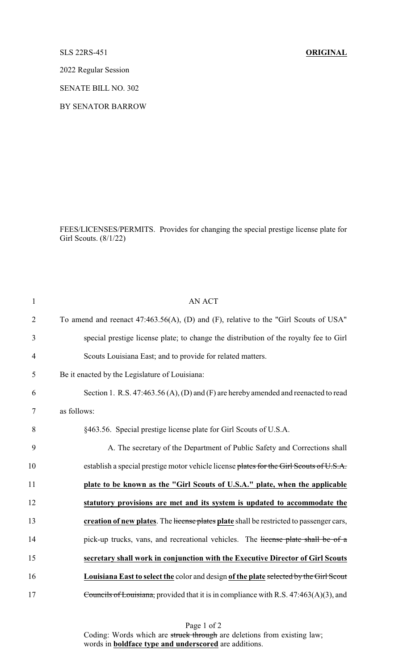SLS 22RS-451 **ORIGINAL**

2022 Regular Session

SENATE BILL NO. 302

BY SENATOR BARROW

FEES/LICENSES/PERMITS. Provides for changing the special prestige license plate for Girl Scouts. (8/1/22)

| $\mathbf{1}$   | <b>AN ACT</b>                                                                           |
|----------------|-----------------------------------------------------------------------------------------|
| $\overline{2}$ | To amend and reenact 47:463.56(A), (D) and (F), relative to the "Girl Scouts of USA"    |
| 3              | special prestige license plate; to change the distribution of the royalty fee to Girl   |
| $\overline{4}$ | Scouts Louisiana East; and to provide for related matters.                              |
| 5              | Be it enacted by the Legislature of Louisiana:                                          |
| 6              | Section 1. R.S. 47:463.56 (A), (D) and (F) are hereby amended and reenacted to read     |
| $\tau$         | as follows:                                                                             |
| 8              | §463.56. Special prestige license plate for Girl Scouts of U.S.A.                       |
| 9              | A. The secretary of the Department of Public Safety and Corrections shall               |
| 10             | establish a special prestige motor vehicle license plates for the Girl Scouts of U.S.A. |
| 11             | plate to be known as the "Girl Scouts of U.S.A." plate, when the applicable             |
| 12             | statutory provisions are met and its system is updated to accommodate the               |
| 13             | creation of new plates. The license plates plate shall be restricted to passenger cars, |
| 14             | pick-up trucks, vans, and recreational vehicles. The license plate shall be of a        |
| 15             | secretary shall work in conjunction with the Executive Director of Girl Scouts          |
| 16             | Louisiana East to select the color and design of the plate selected by the Girl Scout   |
| 17             | Councils of Louisiana, provided that it is in compliance with R.S. 47:463(A)(3), and    |

Page 1 of 2 Coding: Words which are struck through are deletions from existing law; words in **boldface type and underscored** are additions.